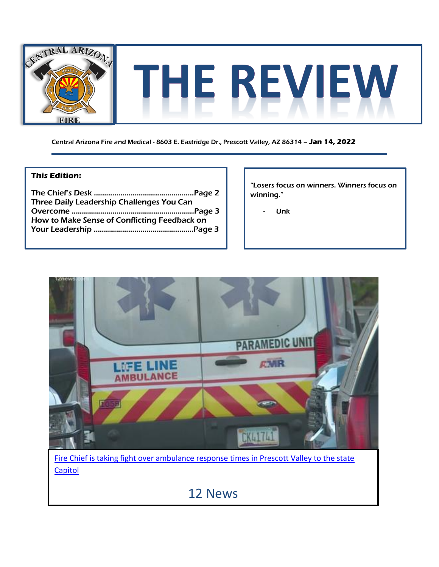

Central Arizona Fire and Medical - 8603 E. Eastridge Dr., Prescott Valley, AZ 86314 – **Jan 14, 2022**

#### **This Edition:**

| Three Daily Leadership Challenges You Can    |  |
|----------------------------------------------|--|
|                                              |  |
| How to Make Sense of Conflicting Feedback on |  |
|                                              |  |

"Losers focus on winners. Winners focus on winning."

- Unk

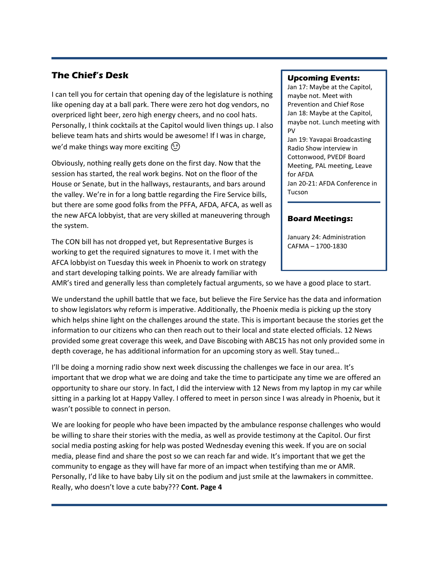## **The Chief's Desk**

I can tell you for certain that opening day of the legislature is nothing like opening day at a ball park. There were zero hot dog vendors, no overpriced light beer, zero high energy cheers, and no cool hats. Personally, I think cocktails at the Capitol would liven things up. I also believe team hats and shirts would be awesome! If I was in charge, we'd make things way more exciting  $\circled{z}$ 

Obviously, nothing really gets done on the first day. Now that the session has started, the real work begins. Not on the floor of the House or Senate, but in the hallways, restaurants, and bars around the valley. We're in for a long battle regarding the Fire Service bills, but there are some good folks from the PFFA, AFDA, AFCA, as well as the new AFCA lobbyist, that are very skilled at maneuvering through the system.

The CON bill has not dropped yet, but Representative Burges is working to get the required signatures to move it. I met with the AFCA lobbyist on Tuesday this week in Phoenix to work on strategy and start developing talking points. We are already familiar with

#### **Upcoming Events:**

Jan 17: Maybe at the Capitol, maybe not. Meet with Prevention and Chief Rose Jan 18: Maybe at the Capitol, maybe not. Lunch meeting with PV Jan 19: Yavapai Broadcasting Radio Show interview in

Cottonwood, PVEDF Board Meeting, PAL meeting, Leave for AFDA Jan 20-21: AFDA Conference in Tucson

### **Board Meetings:**

January 24: Administration CAFMA – 1700-1830

AMR's tired and generally less than completely factual arguments, so we have a good place to start.

We understand the uphill battle that we face, but believe the Fire Service has the data and information to show legislators why reform is imperative. Additionally, the Phoenix media is picking up the story which helps shine light on the challenges around the state. This is important because the stories get the information to our citizens who can then reach out to their local and state elected officials. 12 News provided some great coverage this week, and Dave Biscobing with ABC15 has not only provided some in depth coverage, he has additional information for an upcoming story as well. Stay tuned…

I'll be doing a morning radio show next week discussing the challenges we face in our area. It's important that we drop what we are doing and take the time to participate any time we are offered an opportunity to share our story. In fact, I did the interview with 12 News from my laptop in my car while sitting in a parking lot at Happy Valley. I offered to meet in person since I was already in Phoenix, but it wasn't possible to connect in person.

We are looking for people who have been impacted by the ambulance response challenges who would be willing to share their stories with the media, as well as provide testimony at the Capitol. Our first social media posting asking for help was posted Wednesday evening this week. If you are on social media, please find and share the post so we can reach far and wide. It's important that we get the community to engage as they will have far more of an impact when testifying than me or AMR. Personally, I'd like to have baby Lily sit on the podium and just smile at the lawmakers in committee. Really, who doesn't love a cute baby??? **Cont. Page 4**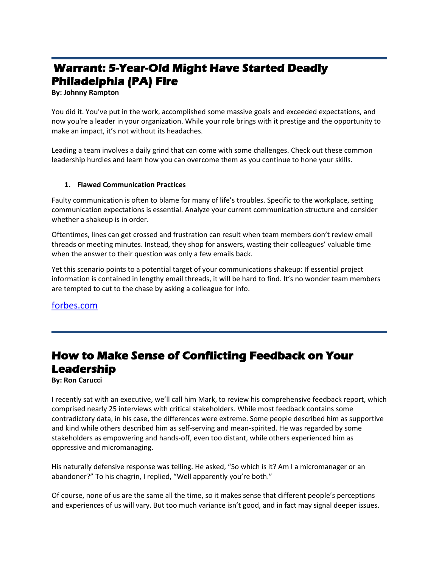# **Warrant: 5-Year-Old Might Have Started Deadly Philadelphia (PA) Fire**

**By: Johnny Rampton**

You did it. You've put in the work, accomplished some massive goals and exceeded expectations, and now you're a leader in your organization. While your role brings with it prestige and the opportunity to make an impact, it's not without its headaches.

Leading a team involves a daily grind that can come with some challenges. Check out these common leadership hurdles and learn how you can overcome them as you continue to hone your skills.

#### **1. Flawed Communication Practices**

Faulty communication is often to blame for many of life's troubles. Specific to the workplace, setting communication expectations is essential. Analyze your current communication structure and consider whether a shakeup is in order.

Oftentimes, lines can get crossed and frustration can result when team members don't review email threads or meeting minutes. Instead, they shop for answers, wasting their colleagues' valuable time when the answer to their question was only a few emails back.

Yet this scenario points to a potential target of your communications shakeup: If essential project information is contained in lengthy email threads, it will be hard to find. It's no wonder team members are tempted to cut to the chase by asking a colleague for info.

[forbes.com](https://www.forbes.com/sites/theyec/2022/01/04/three-daily-leadership-challenges-you-can-overcome/?sh=20fd7344bc1c)

## **How to Make Sense of Conflicting Feedback on Your Leadership**

**By: Ron Carucci**

I recently sat with an executive, we'll call him Mark, to review his comprehensive feedback report, which comprised nearly 25 interviews with critical stakeholders. While most feedback contains some contradictory data, in his case, the differences were extreme. Some people described him as supportive and kind while others described him as self-serving and mean-spirited. He was regarded by some stakeholders as empowering and hands-off, even too distant, while others experienced him as oppressive and micromanaging.

His naturally defensive response was telling. He asked, "So which is it? Am I a micromanager or an abandoner?" To his chagrin, I replied, "Well apparently you're both."

Of course, none of us are the same all the time, so it makes sense that different people's perceptions and experiences of us will vary. But too much variance isn't good, and in fact may signal deeper issues.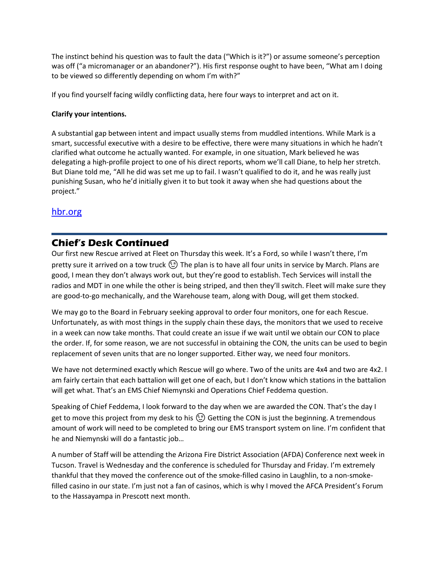The instinct behind his question was to fault the data ("Which is it?") or assume someone's perception was off ("a micromanager or an abandoner?"). His first response ought to have been, "What am I doing to be viewed so differently depending on whom I'm with?"

If you find yourself facing wildly conflicting data, here four ways to interpret and act on it.

#### **Clarify your intentions.**

A substantial gap between intent and impact usually stems from muddled intentions. While Mark is a smart, successful executive with a desire to be effective, there were many situations in which he hadn't clarified what outcome he actually wanted. For example, in one situation, Mark believed he was delegating a high-profile project to one of his direct reports, whom we'll call Diane, to help her stretch. But Diane told me, "All he did was set me up to fail. I wasn't qualified to do it, and he was really just punishing Susan, who he'd initially given it to but took it away when she had questions about the project."

### [hbr.org](https://hbr.org/2022/01/how-to-make-sense-of-conflicting-feedback-on-your-leadership)

## **Chief's Desk Continued**

Our first new Rescue arrived at Fleet on Thursday this week. It's a Ford, so while I wasn't there, I'm pretty sure it arrived on a tow truck  $\circled{1}$  The plan is to have all four units in service by March. Plans are good, I mean they don't always work out, but they're good to establish. Tech Services will install the radios and MDT in one while the other is being striped, and then they'll switch. Fleet will make sure they are good-to-go mechanically, and the Warehouse team, along with Doug, will get them stocked.

We may go to the Board in February seeking approval to order four monitors, one for each Rescue. Unfortunately, as with most things in the supply chain these days, the monitors that we used to receive in a week can now take months. That could create an issue if we wait until we obtain our CON to place the order. If, for some reason, we are not successful in obtaining the CON, the units can be used to begin replacement of seven units that are no longer supported. Either way, we need four monitors.

We have not determined exactly which Rescue will go where. Two of the units are 4x4 and two are 4x2. I am fairly certain that each battalion will get one of each, but I don't know which stations in the battalion will get what. That's an EMS Chief Niemynski and Operations Chief Feddema question.

Speaking of Chief Feddema, I look forward to the day when we are awarded the CON. That's the day I get to move this project from my desk to his  $\circled{c}$  Getting the CON is just the beginning. A tremendous amount of work will need to be completed to bring our EMS transport system on line. I'm confident that he and Niemynski will do a fantastic job…

A number of Staff will be attending the Arizona Fire District Association (AFDA) Conference next week in Tucson. Travel is Wednesday and the conference is scheduled for Thursday and Friday. I'm extremely thankful that they moved the conference out of the smoke-filled casino in Laughlin, to a non-smokefilled casino in our state. I'm just not a fan of casinos, which is why I moved the AFCA President's Forum to the Hassayampa in Prescott next month.